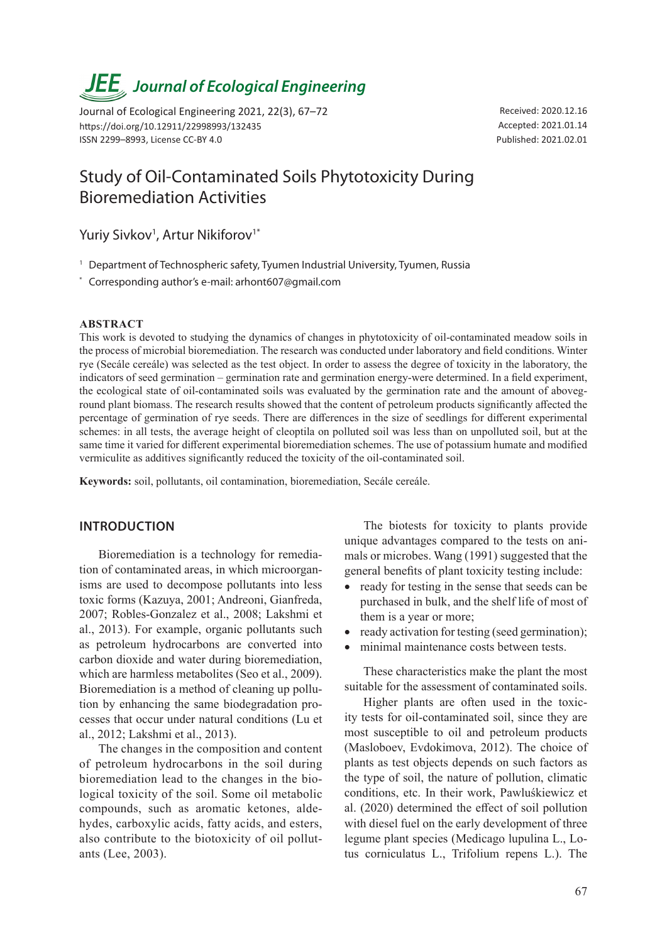# *JEE<sub>,</sub> Journal of Ecological Engineering*

Journal of Ecological Engineering 2021, 22(3), 67–72 https://doi.org/10.12911/22998993/132435 ISSN 2299–8993, License CC-BY 4.0

Received: 2020.12.16 Accepted: 2021.01.14 Published: 2021.02.01

## Study of Oil-Contaminated Soils Phytotoxicity During Bioremediation Activities

Yuriy Sivkov<sup>1</sup>, Artur Nikiforov<sup>1\*</sup>

- <sup>1</sup> Department of Technospheric safety, Tyumen Industrial University, Tyumen, Russia
- \* Corresponding author's e-mail: arhont607@gmail.com

#### **ABSTRACT**

This work is devoted to studying the dynamics of changes in phytotoxicity of oil-contaminated meadow soils in the process of microbial bioremediation. The research was conducted under laboratory and field conditions. Winter rye (Secále cereále) was selected as the test object. In order to assess the degree of toxicity in the laboratory, the indicators of seed germination – germination rate and germination energy-were determined. In a field experiment, the ecological state of oil-contaminated soils was evaluated by the germination rate and the amount of aboveground plant biomass. The research results showed that the content of petroleum products significantly affected the percentage of germination of rye seeds. There are differences in the size of seedlings for different experimental schemes: in all tests, the average height of cleoptila on polluted soil was less than on unpolluted soil, but at the same time it varied for different experimental bioremediation schemes. The use of potassium humate and modified vermiculite as additives significantly reduced the toxicity of the oil-contaminated soil.

**Keywords:** soil, pollutants, oil contamination, bioremediation, Secále cereále.

### **INTRODUCTION**

Bioremediation is a technology for remediation of contaminated areas, in which microorganisms are used to decompose pollutants into less toxic forms (Kazuya, 2001; Andreoni, Gianfreda, 2007; Robles-Gonzalez et al., 2008; Lakshmi et al., 2013). For example, organic pollutants such as petroleum hydrocarbons are converted into carbon dioxide and water during bioremediation, which are harmless metabolites (Seo et al., 2009). Bioremediation is a method of cleaning up pollution by enhancing the same biodegradation processes that occur under natural conditions (Lu et al., 2012; Lakshmi et al., 2013).

The changes in the composition and content of petroleum hydrocarbons in the soil during bioremediation lead to the changes in the biological toxicity of the soil. Some oil metabolic compounds, such as aromatic ketones, aldehydes, carboxylic acids, fatty acids, and esters, also contribute to the biotoxicity of oil pollutants (Lee, 2003).

The biotests for toxicity to plants provide unique advantages compared to the tests on animals or microbes. Wang (1991) suggested that the general benefits of plant toxicity testing include:

- ready for testing in the sense that seeds can be purchased in bulk, and the shelf life of most of them is a year or more;
- ready activation for testing (seed germination);
- minimal maintenance costs between tests.

These characteristics make the plant the most suitable for the assessment of contaminated soils.

Higher plants are often used in the toxicity tests for oil-contaminated soil, since they are most susceptible to oil and petroleum products (Masloboev, Evdokimova, 2012). The choice of plants as test objects depends on such factors as the type of soil, the nature of pollution, climatic conditions, etc. In their work, Pawluśkiewicz et al. (2020) determined the effect of soil pollution with diesel fuel on the early development of three legume plant species (Medicago lupulina L., Lotus corniculatus L., Trifolium repens L.). The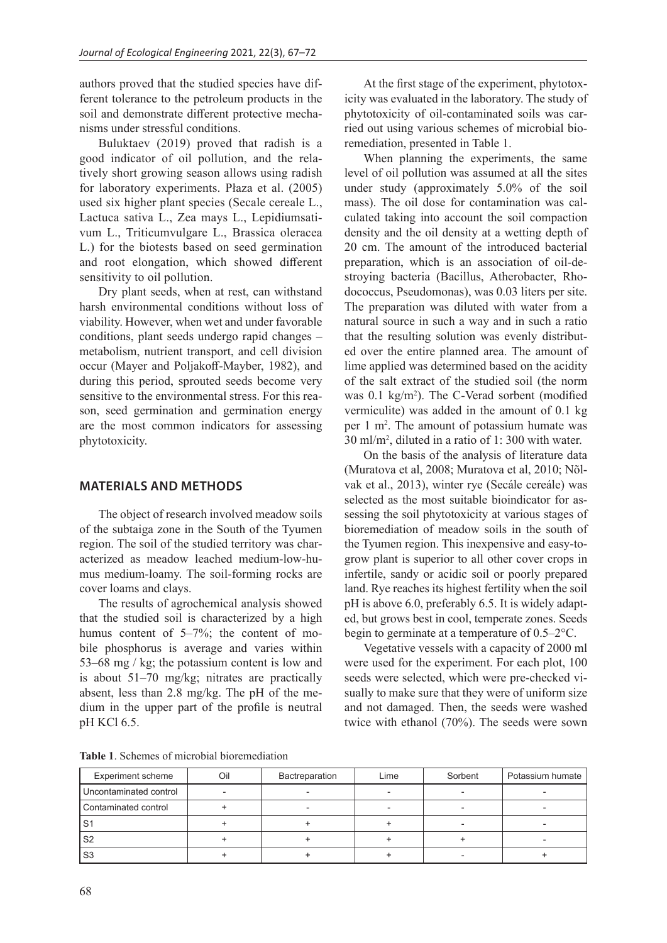authors proved that the studied species have different tolerance to the petroleum products in the soil and demonstrate different protective mechanisms under stressful conditions.

Buluktaev (2019) proved that radish is a good indicator of oil pollution, and the relatively short growing season allows using radish for laboratory experiments. Płaza et al. (2005) used six higher plant species (Secale cereale L., Lactuca sativa L., Zea mays L., Lepidiumsativum L., Triticumvulgare L., Brassica oleracea L.) for the biotests based on seed germination and root elongation, which showed different sensitivity to oil pollution.

Dry plant seeds, when at rest, can withstand harsh environmental conditions without loss of viability. However, when wet and under favorable conditions, plant seeds undergo rapid changes – metabolism, nutrient transport, and cell division occur (Mayer and Poljakoff-Mayber, 1982), and during this period, sprouted seeds become very sensitive to the environmental stress. For this reason, seed germination and germination energy are the most common indicators for assessing phytotoxicity.

#### **MATERIALS AND METHODS**

The object of research involved meadow soils of the subtaiga zone in the South of the Tyumen region. The soil of the studied territory was characterized as meadow leached medium-low-humus medium-loamy. The soil-forming rocks are cover loams and clays.

The results of agrochemical analysis showed that the studied soil is characterized by a high humus content of 5–7%; the content of mobile phosphorus is average and varies within 53–68 mg / kg; the potassium content is low and is about 51–70 mg/kg; nitrates are practically absent, less than 2.8 mg/kg. The pH of the medium in the upper part of the profile is neutral pH KCl 6.5.

At the first stage of the experiment, phytotoxicity was evaluated in the laboratory. The study of phytotoxicity of oil-contaminated soils was carried out using various schemes of microbial bioremediation, presented in Table 1.

When planning the experiments, the same level of oil pollution was assumed at all the sites under study (approximately 5.0% of the soil mass). The oil dose for contamination was calculated taking into account the soil compaction density and the oil density at a wetting depth of 20 cm. The amount of the introduced bacterial preparation, which is an association of oil-destroying bacteria (Bacillus, Atherobacter, Rhodococcus, Pseudomonas), was 0.03 liters per site. The preparation was diluted with water from a natural source in such a way and in such a ratio that the resulting solution was evenly distributed over the entire planned area. The amount of lime applied was determined based on the acidity of the salt extract of the studied soil (the norm was 0.1 kg/m<sup>2</sup>). The C-Verad sorbent (modified vermiculite) was added in the amount of 0.1 kg per 1 m<sup>2</sup>. The amount of potassium humate was 30 ml/m<sup>2</sup> , diluted in a ratio of 1: 300 with water.

On the basis of the analysis of literature data (Muratova et al, 2008; Muratova et al, 2010; Nõlvak et al., 2013), winter rye (Secále cereále) was selected as the most suitable bioindicator for assessing the soil phytotoxicity at various stages of bioremediation of meadow soils in the south of the Tyumen region. This inexpensive and easy-togrow plant is superior to all other cover crops in infertile, sandy or acidic soil or poorly prepared land. Rye reaches its highest fertility when the soil pH is above 6.0, preferably 6.5. It is widely adapted, but grows best in cool, temperate zones. Seeds begin to germinate at a temperature of 0.5–2°C.

Vegetative vessels with a capacity of 2000 ml were used for the experiment. For each plot, 100 seeds were selected, which were pre-checked visually to make sure that they were of uniform size and not damaged. Then, the seeds were washed twice with ethanol (70%). The seeds were sown

**Table 1**. Schemes of microbial bioremediation

| <b>Experiment scheme</b> | Oil | Bactreparation | ∟ime | Sorbent | Potassium humate |
|--------------------------|-----|----------------|------|---------|------------------|
| Uncontaminated control   | ۰   |                |      |         |                  |
| Contaminated control     |     |                |      |         |                  |
| S <sup>1</sup>           |     |                |      |         |                  |
| S <sub>2</sub>           |     |                |      |         |                  |
|                          |     |                |      |         |                  |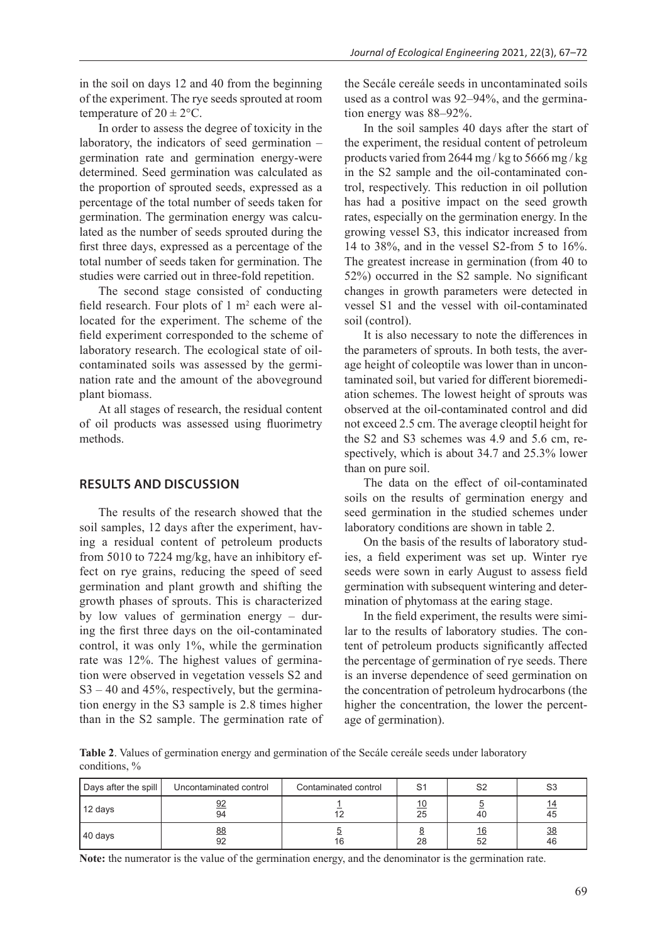in the soil on days 12 and 40 from the beginning of the experiment. The rye seeds sprouted at room temperature of  $20 \pm 2$ °C.

In order to assess the degree of toxicity in the laboratory, the indicators of seed germination – germination rate and germination energy-were determined. Seed germination was calculated as the proportion of sprouted seeds, expressed as a percentage of the total number of seeds taken for germination. The germination energy was calculated as the number of seeds sprouted during the first three days, expressed as a percentage of the total number of seeds taken for germination. The studies were carried out in three-fold repetition.

The second stage consisted of conducting field research. Four plots of  $1 \text{ m}^2$  each were allocated for the experiment. The scheme of the field experiment corresponded to the scheme of laboratory research. The ecological state of oilcontaminated soils was assessed by the germination rate and the amount of the aboveground plant biomass.

At all stages of research, the residual content of oil products was assessed using fluorimetry methods.

### **RESULTS AND DISCUSSION**

The results of the research showed that the soil samples, 12 days after the experiment, having a residual content of petroleum products from 5010 to 7224 mg/kg, have an inhibitory effect on rye grains, reducing the speed of seed germination and plant growth and shifting the growth phases of sprouts. This is characterized by low values of germination energy – during the first three days on the oil-contaminated control, it was only 1%, while the germination rate was 12%. The highest values of germination were observed in vegetation vessels S2 and S3 – 40 and 45%, respectively, but the germination energy in the S3 sample is 2.8 times higher than in the S2 sample. The germination rate of the Secále cereále seeds in uncontaminated soils used as a control was 92–94%, and the germination energy was 88–92%.

In the soil samples 40 days after the start of the experiment, the residual content of petroleum products varied from 2644 mg / kg to 5666 mg / kg in the S2 sample and the oil-contaminated control, respectively. This reduction in oil pollution has had a positive impact on the seed growth rates, especially on the germination energy. In the growing vessel S3, this indicator increased from 14 to 38%, and in the vessel S2-from 5 to 16%. The greatest increase in germination (from 40 to 52%) occurred in the S2 sample. No significant changes in growth parameters were detected in vessel S1 and the vessel with oil-contaminated soil (control).

It is also necessary to note the differences in the parameters of sprouts. In both tests, the average height of coleoptile was lower than in uncontaminated soil, but varied for different bioremediation schemes. The lowest height of sprouts was observed at the oil-contaminated control and did not exceed 2.5 cm. The average cleoptil height for the S2 and S3 schemes was 4.9 and 5.6 cm, respectively, which is about 34.7 and 25.3% lower than on pure soil.

The data on the effect of oil-contaminated soils on the results of germination energy and seed germination in the studied schemes under laboratory conditions are shown in table 2.

On the basis of the results of laboratory studies, a field experiment was set up. Winter rye seeds were sown in early August to assess field germination with subsequent wintering and determination of phytomass at the earing stage.

In the field experiment, the results were similar to the results of laboratory studies. The content of petroleum products significantly affected the percentage of germination of rye seeds. There is an inverse dependence of seed germination on the concentration of petroleum hydrocarbons (the higher the concentration, the lower the percentage of germination).

**Table 2**. Values of germination energy and germination of the Secále cereále seeds under laboratory conditions, %

| Days after the spill | Uncontaminated control | Contaminated control | S1       | S <sub>2</sub>   | S <sub>3</sub>  |
|----------------------|------------------------|----------------------|----------|------------------|-----------------|
| 12 days              | 92<br>94               |                      | 10<br>25 | 40               | 14<br>45        |
| 40 days              | 88<br>92               | 16                   | 28       | <u> 16</u><br>52 | <u>38</u><br>46 |

**Note:** the numerator is the value of the germination energy, and the denominator is the germination rate.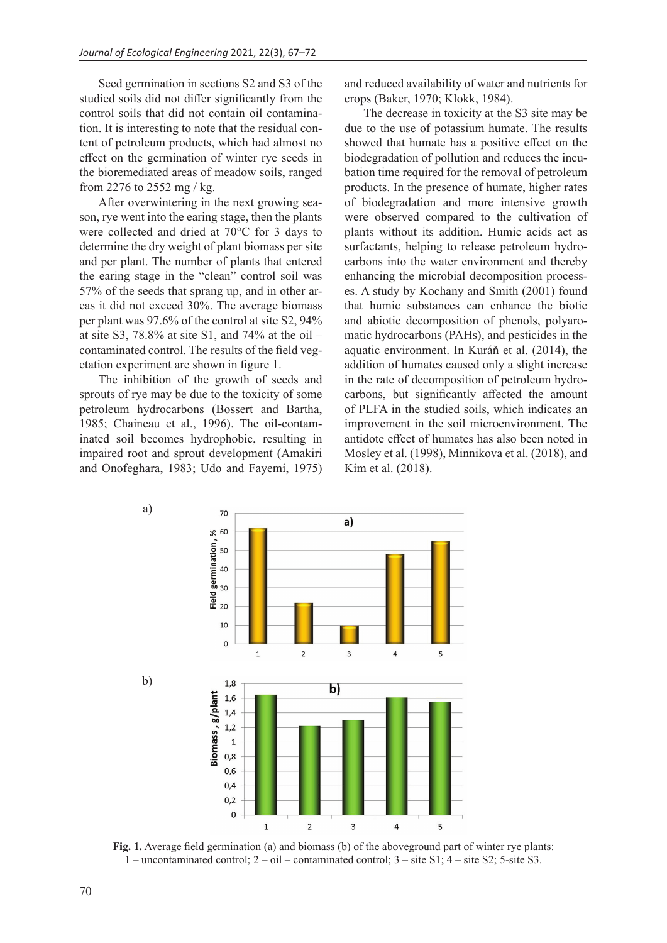Seed germination in sections S2 and S3 of the studied soils did not differ significantly from the control soils that did not contain oil contamination. It is interesting to note that the residual content of petroleum products, which had almost no effect on the germination of winter rye seeds in the bioremediated areas of meadow soils, ranged from 2276 to 2552 mg / kg.

After overwintering in the next growing season, rye went into the earing stage, then the plants were collected and dried at 70°C for 3 days to determine the dry weight of plant biomass per site and per plant. The number of plants that entered the earing stage in the "clean" control soil was 57% of the seeds that sprang up, and in other areas it did not exceed 30%. The average biomass per plant was 97.6% of the control at site S2, 94% at site S3, 78.8% at site S1, and 74% at the oil – contaminated control. The results of the field vegetation experiment are shown in figure 1.

The inhibition of the growth of seeds and sprouts of rye may be due to the toxicity of some petroleum hydrocarbons (Bossert and Bartha, 1985; Chaineau et al., 1996). The oil-contaminated soil becomes hydrophobic, resulting in impaired root and sprout development (Amakiri and Onofeghara, 1983; Udo and Fayemi, 1975) and reduced availability of water and nutrients for crops (Baker, 1970; Klokk, 1984).

The decrease in toxicity at the S3 site may be due to the use of potassium humate. The results showed that humate has a positive effect on the biodegradation of pollution and reduces the incubation time required for the removal of petroleum products. In the presence of humate, higher rates of biodegradation and more intensive growth were observed compared to the cultivation of plants without its addition. Humic acids act as surfactants, helping to release petroleum hydrocarbons into the water environment and thereby enhancing the microbial decomposition processes. A study by Kochany and Smith (2001) found that humic substances can enhance the biotic and abiotic decomposition of phenols, polyaromatic hydrocarbons (PAHs), and pesticides in the aquatic environment. In Kuráň et al. (2014), the addition of humates caused only a slight increase in the rate of decomposition of petroleum hydrocarbons, but significantly affected the amount of PLFA in the studied soils, which indicates an improvement in the soil microenvironment. The antidote effect of humates has also been noted in Mosley et al. (1998), Minnikova et al. (2018), and Kim et al. (2018).



**Fig. 1.** Average field germination (a) and biomass (b) of the aboveground part of winter rye plants: 1 – uncontaminated control;  $2 - oil$  – contaminated control;  $3 - site S1$ ;  $4 - site S2$ ;  $5 - site S3$ .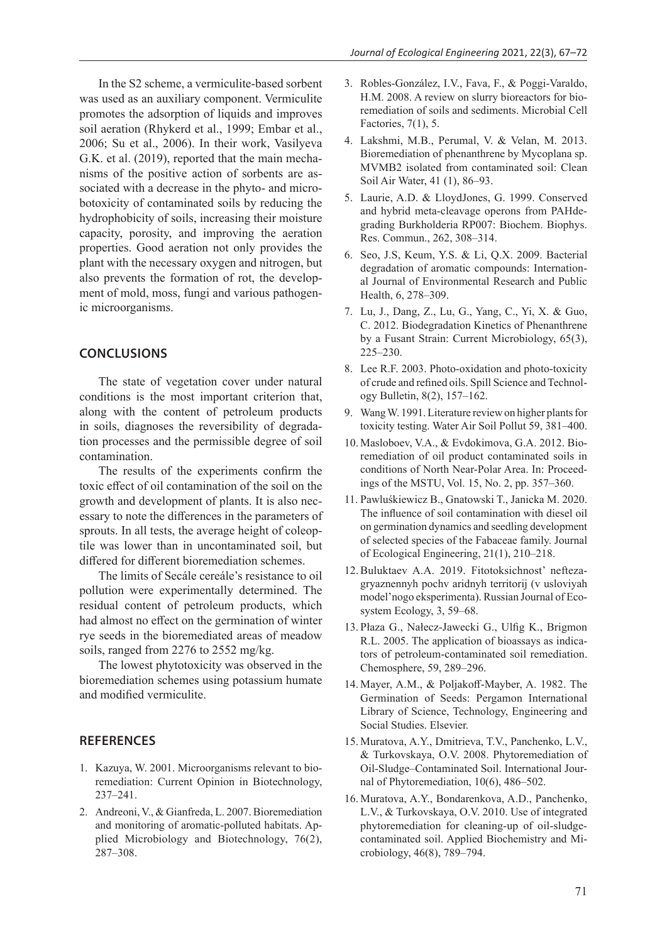In the S2 scheme, a vermiculite-based sorbent was used as an auxiliary component. Vermiculite promotes the adsorption of liquids and improves soil aeration (Rhykerd et al., 1999; Embar et al., 2006; Su et al., 2006). In their work, Vasilyeva G.K. et al. (2019), reported that the main mechanisms of the positive action of sorbents are associated with a decrease in the phyto- and microbotoxicity of contaminated soils by reducing the hydrophobicity of soils, increasing their moisture capacity, porosity, and improving the aeration properties. Good aeration not only provides the plant with the necessary oxygen and nitrogen, but also prevents the formation of rot, the development of mold, moss, fungi and various pathogenic microorganisms.

### **CONCLUSIONS**

The state of vegetation cover under natural conditions is the most important criterion that, along with the content of petroleum products in soils, diagnoses the reversibility of degradation processes and the permissible degree of soil contamination.

The results of the experiments confirm the toxic effect of oil contamination of the soil on the growth and development of plants. It is also necessary to note the differences in the parameters of sprouts. In all tests, the average height of coleoptile was lower than in uncontaminated soil, but differed for different bioremediation schemes.

The limits of Secále cereále's resistance to oil pollution were experimentally determined. The residual content of petroleum products, which had almost no effect on the germination of winter rye seeds in the bioremediated areas of meadow soils, ranged from 2276 to 2552 mg/kg.

The lowest phytotoxicity was observed in the bioremediation schemes using potassium humate and modified vermiculite.

#### **REFERENCES**

- 1. Kazuya, W. 2001. Microorganisms relevant to bioremediation: Current Opinion in Biotechnology, 237–241.
- 2. Andreoni, V., & Gianfreda, L. 2007. Bioremediation and monitoring of aromatic-polluted habitats. Applied Microbiology and Biotechnology, 76(2), 287–308.
- 3. Robles-González, I.V., Fava, F., & Poggi-Varaldo, H.M. 2008. A review on slurry bioreactors for bioremediation of soils and sediments. Microbial Cell Factories, 7(1), 5.
- 4. Lakshmi, M.B., Perumal, V. & Velan, M. 2013. Bioremediation of phenanthrene by Mycoplana sp. MVMB2 isolated from contaminated soil: Clean Soil Air Water, 41 (1), 86–93.
- 5. Laurie, A.D. & LloydJones, G. 1999. Conserved and hybrid meta-cleavage operons from PAHdegrading Burkholderia RP007: Biochem. Biophys. Res. Commun., 262, 308–314.
- 6. Seo, J.S, Keum, Y.S. & Li, Q.X. 2009. Bacterial degradation of aromatic compounds: International Journal of Environmental Research and Public Health, 6, 278–309.
- 7. Lu, J., Dang, Z., Lu, G., Yang, C., Yi, X. & Guo, C. 2012. Biodegradation Kinetics of Phenanthrene by a Fusant Strain: Current Microbiology, 65(3), 225–230.
- 8. Lee R.F. 2003. Photo-oxidation and photo-toxicity of crude and refined oils. Spill Science and Technology Bulletin, 8(2), 157–162.
- 9. Wang W. 1991. Literature review on higher plants for toxicity testing. Water Air Soil Pollut 59, 381–400.
- 10. Masloboev, V.A., & Evdokimova, G.A. 2012. Bioremediation of oil product contaminated soils in conditions of North Near-Polar Area. In: Proceedings of the MSTU, Vol. 15, No. 2, pp. 357–360.
- 11. Pawluśkiewicz B., Gnatowski T., Janicka M. 2020. The influence of soil contamination with diesel oil on germination dynamics and seedling development of selected species of the Fabaceae family. Journal of Ecological Engineering, 21(1), 210–218.
- 12.Buluktaev A.A. 2019. Fitotoksichnost' neftezagryaznennyh pochv aridnyh territorij (v usloviyah model'nogo eksperimenta). Russian Journal of Ecosystem Ecology, 3, 59–68.
- 13. Płaza G., Nałecz-Jawecki G., Ulfig K., Brigmon R.L. 2005. The application of bioassays as indicators of petroleum-contaminated soil remediation. Chemosphere, 59, 289–296.
- 14. Mayer, A.M., & Poljakoff-Mayber, A. 1982. The Germination of Seeds: Pergamon International Library of Science, Technology, Engineering and Social Studies. Elsevier.
- 15. Muratova, A.Y., Dmitrieva, T.V., Panchenko, L.V., & Turkovskaya, O.V. 2008. Phytoremediation of Oil-Sludge–Contaminated Soil. International Journal of Phytoremediation, 10(6), 486–502.
- 16. Muratova, A.Y., Bondarenkova, A.D., Panchenko, L.V., & Turkovskaya, O.V. 2010. Use of integrated phytoremediation for cleaning-up of oil-sludgecontaminated soil. Applied Biochemistry and Microbiology, 46(8), 789–794.